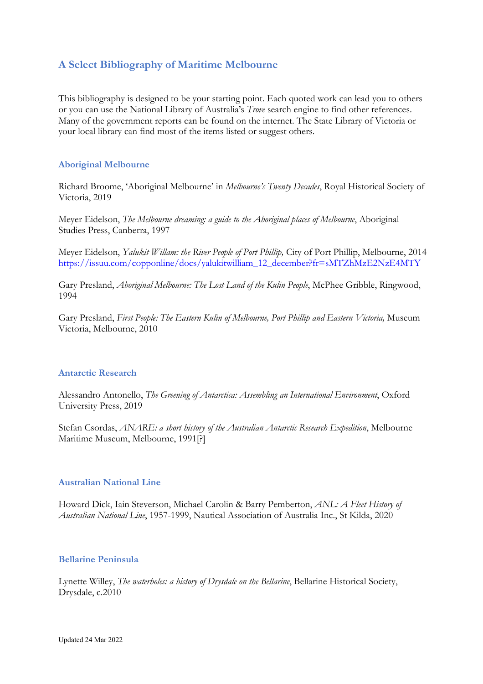# **A Select Bibliography of Maritime Melbourne**

This bibliography is designed to be your starting point. Each quoted work can lead you to others or you can use the National Library of Australia's *Trove* search engine to find other references. Many of the government reports can be found on the internet. The State Library of Victoria or your local library can find most of the items listed or suggest others.

## **Aboriginal Melbourne**

Richard Broome, 'Aboriginal Melbourne' in *Melbourne's Twenty Decades*, Royal Historical Society of Victoria, 2019

Meyer Eidelson, *The Melbourne dreaming: a guide to the Aboriginal places of Melbourne*, Aboriginal Studies Press, Canberra, 1997

Meyer Eidelson, *Yalukit Willam: the River People of Port Phillip,* City of Port Phillip, Melbourne, 2014 [https://issuu.com/copponline/docs/yalukitwilliam\\_12\\_december?fr=sMTZhMzE2NzE4MTY](https://issuu.com/copponline/docs/yalukitwilliam_12_december?fr=sMTZhMzE2NzE4MTY)

Gary Presland, *Aboriginal Melbourne: The Lost Land of the Kulin People*, McPhee Gribble, Ringwood, 1994

Gary Presland, *First People: The Eastern Kulin of Melbourne, Port Phillip and Eastern Victoria,* Museum Victoria, Melbourne, 2010

## **Antarctic Research**

Alessandro Antonello, *The Greening of Antarctica: Assembling an International Environment*, Oxford University Press, 2019

Stefan Csordas, *ANARE: a short history of the Australian Antarctic Research Expedition*, Melbourne Maritime Museum, Melbourne, 1991[?]

#### **Australian National Line**

Howard Dick, Iain Steverson, Michael Carolin & Barry Pemberton, *ANL: A Fleet History of Australian National Line*, 1957-1999, Nautical Association of Australia Inc., St Kilda, 2020

#### **Bellarine Peninsula**

Lynette Willey, *The waterholes: a history of Drysdale on the Bellarine*, Bellarine Historical Society, Drysdale, c.2010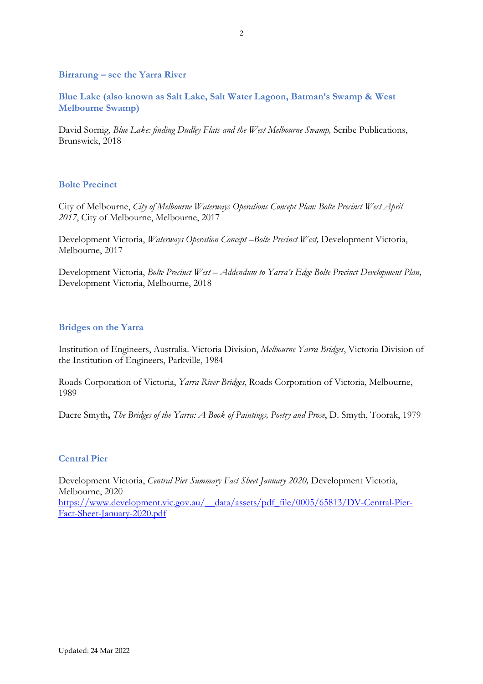**Birrarung – see the Yarra River**

**Blue Lake (also known as Salt Lake, Salt Water Lagoon, Batman's Swamp & West Melbourne Swamp)**

David Sornig, *Blue Lake: finding Dudley Flats and the West Melbourne Swamp,* Scribe Publications, Brunswick, 2018

## **Bolte Precinct**

City of Melbourne, *City of Melbourne Waterways Operations Concept Plan: Bolte Precinct West April 2017*, City of Melbourne, Melbourne, 2017

Development Victoria, *Waterways Operation Concept-Bolte Precinct West*, Development Victoria, Melbourne, 2017

Development Victoria, *Bolte Precinct West – Addendum to Yarra's Edge Bolte Precinct Development Plan,*  Development Victoria, Melbourne, 2018

## **Bridges on the Yarra**

Institution of Engineers, Australia. Victoria Division, *Melbourne Yarra Bridges*, Victoria Division of the Institution of Engineers, Parkville, 1984

Roads Corporation of Victoria, *Yarra River Bridges*, Roads Corporation of Victoria, Melbourne, 1989

Dacre Smyth**,** *The Bridges of the Yarra: A Book of Paintings, Poetry and Prose*, D. Smyth, Toorak, 1979

## **Central Pier**

Development Victoria, *Central Pier Summary Fact Sheet January 2020,* Development Victoria, Melbourne, 2020 [https://www.development.vic.gov.au/\\_\\_data/assets/pdf\\_file/0005/65813/DV-Central-Pier-](https://www.development.vic.gov.au/__data/assets/pdf_file/0005/65813/DV-Central-Pier-Fact-Sheet-January-2020.pdf)[Fact-Sheet-January-2020.pdf](https://www.development.vic.gov.au/__data/assets/pdf_file/0005/65813/DV-Central-Pier-Fact-Sheet-January-2020.pdf)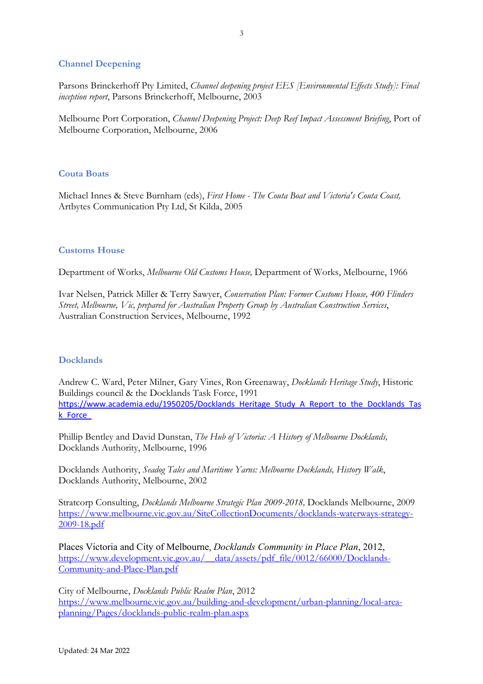## **Channel Deepening**

Parsons Brinckerhoff Pty Limited, *Channel deepening project EES [Environmental Effects Study]: Final inception report*, Parsons Brinckerhoff, Melbourne, 2003

Melbourne Port Corporation, *Channel Deepening Project: Deep Reef Impact Assessment Briefing*, Port of Melbourne Corporation, Melbourne, 2006

#### **Couta Boats**

Michael Innes & Steve Burnham (eds), *First Home - The Couta Boat and Victoria's Couta Coast,*  Artbytes Communication Pty Ltd, St Kilda, 2005

#### **Customs House**

Department of Works, *Melbourne Old Customs House,* Department of Works, Melbourne, 1966

Ivar Nelsen, Patrick Miller & Terry Sawyer, *Conservation Plan: Former Customs House, 400 Flinders Street, Melbourne, Vic, prepared for Australian Property Group by Australian Construction Services*, Australian Construction Services, Melbourne, 1992

#### **Docklands**

Andrew C. Ward, Peter Milner, Gary Vines, Ron Greenaway, *Docklands Heritage Study*, Historic Buildings council & the Docklands Task Force, 1991 [https://www.academia.edu/1950205/Docklands\\_Heritage\\_Study\\_A\\_Report\\_to\\_the\\_Docklands\\_Tas](https://www.academia.edu/1950205/Docklands_Heritage_Study_A_Report_to_the_Docklands_Task_Force_) [k\\_Force\\_](https://www.academia.edu/1950205/Docklands_Heritage_Study_A_Report_to_the_Docklands_Task_Force_)

Phillip Bentley and David Dunstan, *The Hub of Victoria: A History of Melbourne Docklands,*  Docklands Authority, Melbourne, 1996

Docklands Authority, *Seadog Tales and Maritime Yarns: Melbourne Docklands, History Walk*, Docklands Authority, Melbourne, 2002

Stratcorp Consulting, *Docklands Melbourne Strategic Plan 2009-2018,* Docklands Melbourne, 2009 [https://www.melbourne.vic.gov.au/SiteCollectionDocuments/docklands-waterways-strategy-](https://www.melbourne.vic.gov.au/SiteCollectionDocuments/docklands-waterways-strategy-2009-18.pdf)[2009-18.pdf](https://www.melbourne.vic.gov.au/SiteCollectionDocuments/docklands-waterways-strategy-2009-18.pdf)

Places Victoria and City of Melbourne, *Docklands Community in Place Plan*, 2012, [https://www.development.vic.gov.au/\\_\\_data/assets/pdf\\_file/0012/66000/Docklands-](https://www.development.vic.gov.au/__data/assets/pdf_file/0012/66000/Docklands-Community-and-Place-Plan.pdf)[Community-and-Place-Plan.pdf](https://www.development.vic.gov.au/__data/assets/pdf_file/0012/66000/Docklands-Community-and-Place-Plan.pdf)

City of Melbourne, *Docklands Public Realm Plan*, 2012 [https://www.melbourne.vic.gov.au/building-and-development/urban-planning/local-area](https://www.melbourne.vic.gov.au/building-and-development/urban-planning/local-area-planning/Pages/docklands-public-realm-plan.aspx)[planning/Pages/docklands-public-realm-plan.aspx](https://www.melbourne.vic.gov.au/building-and-development/urban-planning/local-area-planning/Pages/docklands-public-realm-plan.aspx)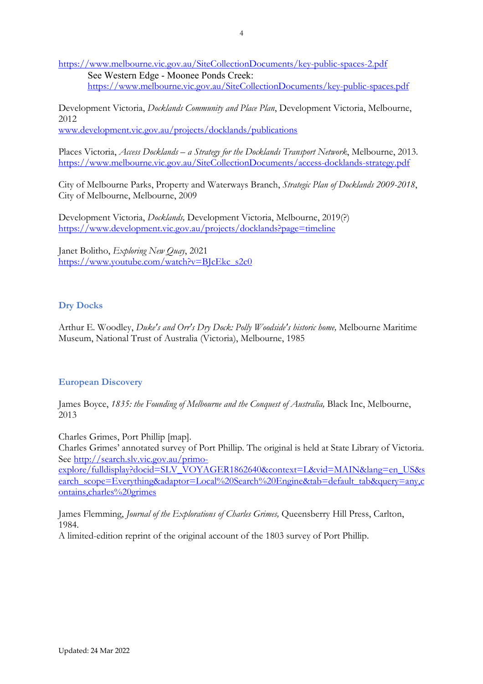<https://www.melbourne.vic.gov.au/SiteCollectionDocuments/key-public-spaces-2.pdf> See Western Edge - Moonee Ponds Creek: <https://www.melbourne.vic.gov.au/SiteCollectionDocuments/key-public-spaces.pdf>

Development Victoria, *Docklands Community and Place Plan*, Development Victoria, Melbourne, 2012 [www.development.vic.gov.au/projects/docklands/publications](http://www.development.vic.gov.au/projects/docklands/publications)

Places Victoria, *Access Docklands – a Strategy for the Docklands Transport Network*, Melbourne, 2013. <https://www.melbourne.vic.gov.au/SiteCollectionDocuments/access-docklands-strategy.pdf>

City of Melbourne Parks, Property and Waterways Branch, *Strategic Plan of Docklands 2009-2018*, City of Melbourne, Melbourne, 2009

Development Victoria, *Docklands,* Development Victoria, Melbourne, 2019(?) <https://www.development.vic.gov.au/projects/docklands?page=timeline>

Janet Bolitho, *Exploring New Quay*, 2021 [https://www.youtube.com/watch?v=BJcEkc\\_s2c0](https://www.youtube.com/watch?v=BJcEkc_s2c0)

# **Dry Docks**

Arthur E. Woodley, *Duke's and Orr's Dry Dock: Polly Woodside's historic home,* Melbourne Maritime Museum, National Trust of Australia (Victoria), Melbourne, 1985

# **European Discovery**

James Boyce, *1835: the Founding of Melbourne and the Conquest of Australia,* Black Inc, Melbourne, 2013

Charles Grimes, Port Phillip [map].

Charles Grimes' annotated survey of Port Phillip. The original is held at State Library of Victoria. See [http://search.slv.vic.gov.au/primo-](http://search.slv.vic.gov.au/primo-explore/fulldisplay?docid=SLV_VOYAGER1862640&context=L&vid=MAIN&lang=en_US&search_scope=Everything&adaptor=Local%20Search%20Engine&tab=default_tab&query=any,contains,charles%20grimes)

[explore/fulldisplay?docid=SLV\\_VOYAGER1862640&context=L&vid=MAIN&lang=en\\_US&s](http://search.slv.vic.gov.au/primo-explore/fulldisplay?docid=SLV_VOYAGER1862640&context=L&vid=MAIN&lang=en_US&search_scope=Everything&adaptor=Local%20Search%20Engine&tab=default_tab&query=any,contains,charles%20grimes) [earch\\_scope=Everything&adaptor=Local%20Search%20Engine&tab=default\\_tab&query=any,c](http://search.slv.vic.gov.au/primo-explore/fulldisplay?docid=SLV_VOYAGER1862640&context=L&vid=MAIN&lang=en_US&search_scope=Everything&adaptor=Local%20Search%20Engine&tab=default_tab&query=any,contains,charles%20grimes) [ontains,charles%20grimes](http://search.slv.vic.gov.au/primo-explore/fulldisplay?docid=SLV_VOYAGER1862640&context=L&vid=MAIN&lang=en_US&search_scope=Everything&adaptor=Local%20Search%20Engine&tab=default_tab&query=any,contains,charles%20grimes)

James Flemming, *Journal of the Explorations of Charles Grimes,* Queensberry Hill Press, Carlton, 1984.

A limited-edition reprint of the original account of the 1803 survey of Port Phillip.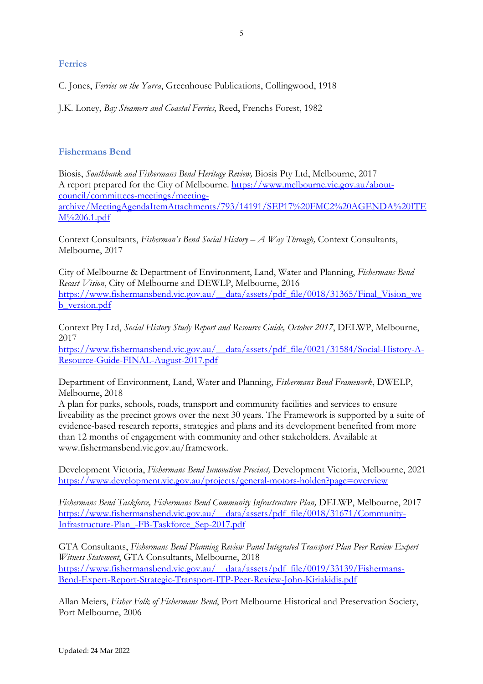### **Ferries**

C. Jones, *Ferries on the Yarra*, Greenhouse Publications, Collingwood, 1918

J.K. Loney, *Bay Steamers and Coastal Ferries*, Reed, Frenchs Forest, 1982

# **Fishermans Bend**

Biosis, *Southbank and Fishermans Bend Heritage Review,* Biosis Pty Ltd, Melbourne, 2017 A report prepared for the City of Melbourne. [https://www.melbourne.vic.gov.au/about](https://www.melbourne.vic.gov.au/about-council/committees-meetings/meeting-archive/MeetingAgendaItemAttachments/793/14191/SEP17%20FMC2%20AGENDA%20ITEM%206.1.pdf)[council/committees-meetings/meeting](https://www.melbourne.vic.gov.au/about-council/committees-meetings/meeting-archive/MeetingAgendaItemAttachments/793/14191/SEP17%20FMC2%20AGENDA%20ITEM%206.1.pdf)[archive/MeetingAgendaItemAttachments/793/14191/SEP17%20FMC2%20AGENDA%20ITE](https://www.melbourne.vic.gov.au/about-council/committees-meetings/meeting-archive/MeetingAgendaItemAttachments/793/14191/SEP17%20FMC2%20AGENDA%20ITEM%206.1.pdf) [M%206.1.pdf](https://www.melbourne.vic.gov.au/about-council/committees-meetings/meeting-archive/MeetingAgendaItemAttachments/793/14191/SEP17%20FMC2%20AGENDA%20ITEM%206.1.pdf)

Context Consultants, *Fisherman's Bend Social History – A Way Through,* Context Consultants, Melbourne, 2017

City of Melbourne & Department of Environment, Land, Water and Planning, *Fishermans Bend Recast Vision*, City of Melbourne and DEWLP, Melbourne, 2016 [https://www.fishermansbend.vic.gov.au/\\_\\_data/assets/pdf\\_file/0018/31365/Final\\_Vision\\_we](https://www.fishermansbend.vic.gov.au/__data/assets/pdf_file/0018/31365/Final_Vision_web_version.pdf) [b\\_version.pdf](https://www.fishermansbend.vic.gov.au/__data/assets/pdf_file/0018/31365/Final_Vision_web_version.pdf)

Context Pty Ltd, *Social History Study Report and Resource Guide, October 2017*, DELWP, Melbourne, 2017

[https://www.fishermansbend.vic.gov.au/\\_\\_data/assets/pdf\\_file/0021/31584/Social-History-A-](https://www.fishermansbend.vic.gov.au/__data/assets/pdf_file/0021/31584/Social-History-A-Resource-Guide-FINAL-August-2017.pdf)[Resource-Guide-FINAL-August-2017.pdf](https://www.fishermansbend.vic.gov.au/__data/assets/pdf_file/0021/31584/Social-History-A-Resource-Guide-FINAL-August-2017.pdf)

Department of Environment, Land, Water and Planning, *Fishermans Bend Framework*, DWELP, Melbourne, 2018

A plan for parks, schools, roads, transport and community facilities and services to ensure liveability as the precinct grows over the next 30 years. The Framework is supported by a suite of evidence-based research reports, strategies and plans and its development benefited from more than 12 months of engagement with community and other stakeholders. Available at www.fishermansbend.vic.gov.au/framework.

Development Victoria, *Fishermans Bend Innovation Precinct,* Development Victoria, Melbourne, 2021 <https://www.development.vic.gov.au/projects/general-motors-holden?page=overview>

Fishermans Bend Taskforce, Fishermans Bend Community Infrastructure Plan, DELWP, Melbourne, 2017 [https://www.fishermansbend.vic.gov.au/\\_\\_data/assets/pdf\\_file/0018/31671/Community-](https://www.fishermansbend.vic.gov.au/__data/assets/pdf_file/0018/31671/Community-Infrastructure-Plan_-FB-Taskforce_Sep-2017.pdf)[Infrastructure-Plan\\_-FB-Taskforce\\_Sep-2017.pdf](https://www.fishermansbend.vic.gov.au/__data/assets/pdf_file/0018/31671/Community-Infrastructure-Plan_-FB-Taskforce_Sep-2017.pdf)

GTA Consultants, *Fishermans Bend Planning Review Panel Integrated Transport Plan Peer Review Expert Witness Statement*, GTA Consultants, Melbourne, 2018 [https://www.fishermansbend.vic.gov.au/\\_\\_data/assets/pdf\\_file/0019/33139/Fishermans-](https://www.fishermansbend.vic.gov.au/__data/assets/pdf_file/0019/33139/Fishermans-Bend-Expert-Report-Strategic-Transport-ITP-Peer-Review-John-Kiriakidis.pdf)[Bend-Expert-Report-Strategic-Transport-ITP-Peer-Review-John-Kiriakidis.pdf](https://www.fishermansbend.vic.gov.au/__data/assets/pdf_file/0019/33139/Fishermans-Bend-Expert-Report-Strategic-Transport-ITP-Peer-Review-John-Kiriakidis.pdf)

Allan Meiers, *Fisher Folk of Fishermans Bend*, Port Melbourne Historical and Preservation Society, Port Melbourne, 2006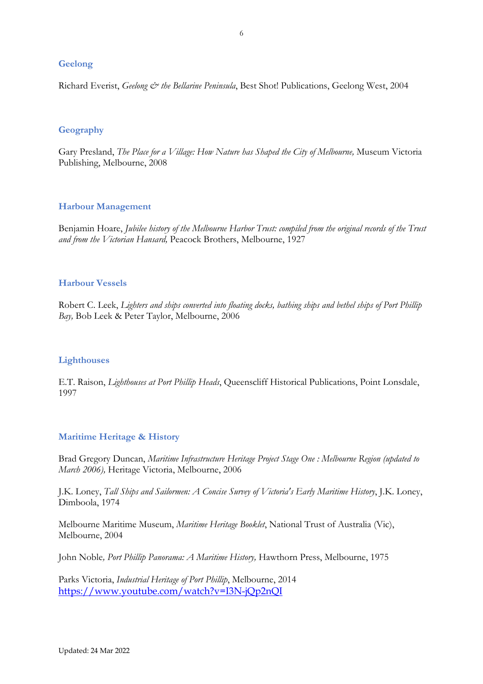## **Geelong**

Richard Everist, *Geelong & the Bellarine Peninsula*, Best Shot! Publications, Geelong West, 2004

#### **Geography**

Gary Presland, *The Place for a Village: How Nature has Shaped the City of Melbourne,* Museum Victoria Publishing, Melbourne, 2008

#### **Harbour Management**

Benjamin Hoare, *Jubilee history of the Melbourne Harbor Trust: compiled from the original records of the Trust and from the Victorian Hansard,* Peacock Brothers, Melbourne, 1927

#### **Harbour Vessels**

Robert C. Leek, *Lighters and ships converted into floating docks, bathing ships and bethel ships of Port Phillip Bay,* Bob Leek & Peter Taylor, Melbourne, 2006

#### **Lighthouses**

E.T. Raison, *Lighthouses at Port Phillip Heads*, Queenscliff Historical Publications, Point Lonsdale, 1997

## **Maritime Heritage & History**

Brad Gregory Duncan, *[Maritime Infrastructure Heritage Project Stage One : Melbourne Region \(updated to](https://trove.nla.gov.au/work/25890154?q=melbourne+maritime&c=book)  [March 2006\),](https://trove.nla.gov.au/work/25890154?q=melbourne+maritime&c=book)* Heritage Victoria, Melbourne, 2006

J.K. Loney, *Tall Ships and Sailormen: A Concise Survey of Victoria's Early Maritime History*, J.K. Loney, Dimboola, 1974

Melbourne Maritime Museum, *Maritime Heritage Booklet*, National Trust of Australia (Vic), Melbourne, 2004

John Noble*, Port Phillip Panorama: A Maritime History,* Hawthorn Press, Melbourne, 1975

Parks Victoria, *Industrial Heritage of Port Phillip*, Melbourne, 2014 <https://www.youtube.com/watch?v=I3N-jQp2nQI>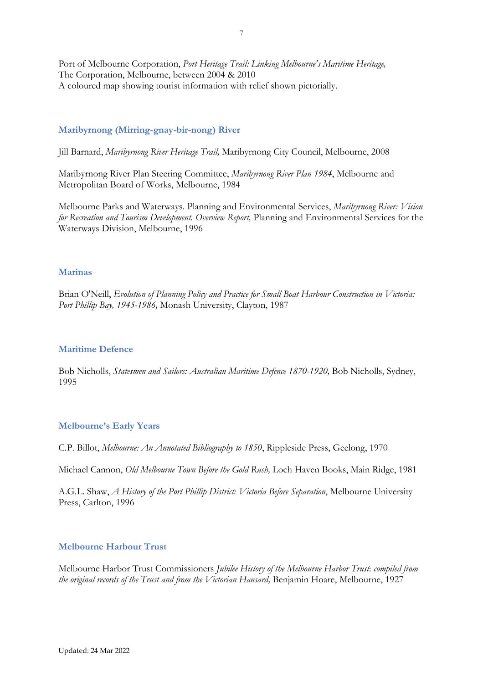Port of Melbourne Corporation, *Port Heritage Trail: Linking Melbourne's Maritime Heritage,* The Corporation, Melbourne, between 2004 & 2010 A coloured map showing tourist information with relief shown pictorially.

## **Maribyrnong (Mirring-gnay-bir-nong) River**

Jill Barnard, *Maribyrnong River Heritage Trail,* Maribyrnong City Council, Melbourne, 2008

Maribyrnong River Plan Steering Committee, *Maribyrnong River Plan 1984*, Melbourne and Metropolitan Board of Works, Melbourne, 1984

Melbourne Parks and Waterways. Planning and Environmental Services, *Maribyrnong River: Vision for Recreation and Tourism Development. Overview Report,* Planning and Environmental Services for the Waterways Division, Melbourne, 1996

#### **Marinas**

Brian O'Neill, *Evolution of Planning Policy and Practice for Small Boat Harbour Construction in Victoria: Port Phillip Bay, 1945-1986,* Monash University, Clayton, 1987

#### **Maritime Defence**

Bob Nicholls, *Statesmen and Sailors: Australian Maritime Defence 1870-1920*, Bob Nicholls, Sydney, 1995

#### **Melbourne's Early Years**

C.P. Billot, *Melbourne: An Annotated Bibliography to 1850*, Rippleside Press, Geelong, 1970

Michael Cannon, *Old Melbourne Town Before the Gold Rush,* Loch Haven Books, Main Ridge, 1981

A.G.L. Shaw, *A History of the Port Phillip District: Victoria Before Separation*, Melbourne University Press, Carlton, 1996

## **Melbourne Harbour Trust**

Melbourne Harbor Trust Commissioners *Jubilee History of the Melbourne Harbor Trust*: *compiled from the original records of the Trust and from the Victorian Hansard,* Benjamin Hoare, Melbourne, 1927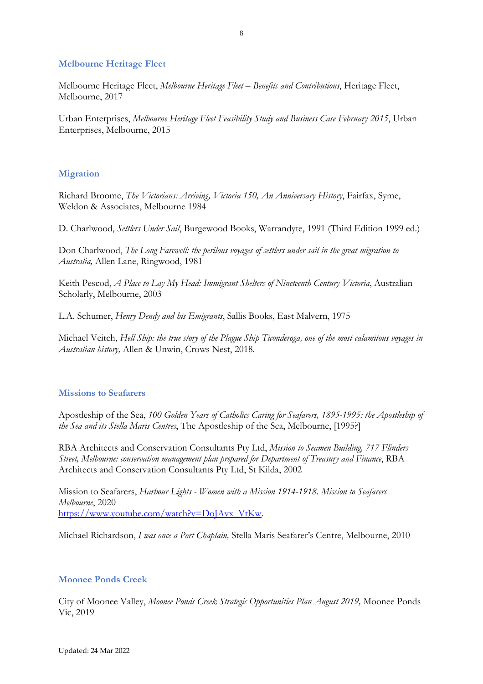#### **Melbourne Heritage Fleet**

Melbourne Heritage Fleet, *Melbourne Heritage Fleet – Benefits and Contributions*, Heritage Fleet, Melbourne, 2017

Urban Enterprises, *Melbourne Heritage Fleet Feasibility Study and Business Case February 2015*, Urban Enterprises, Melbourne, 2015

#### **Migration**

Richard Broome, *The Victorians: Arriving, Victoria 150, An Anniversary History*, Fairfax, Syme, Weldon & Associates, Melbourne 1984

D. Charlwood, *Settlers Under Sail*, Burgewood Books, Warrandyte, 1991 (Third Edition 1999 ed.)

Don Charlwood, *The Long Farewell: the perilous voyages of settlers under sail in the great migration to Australia,* Allen Lane, Ringwood, 1981

Keith Pescod, *A Place to Lay My Head: Immigrant Shelters of Nineteenth Century Victoria*, Australian Scholarly, Melbourne, 2003

L.A. Schumer, *Henry Dendy and his Emigrants*, Sallis Books, East Malvern, 1975

Michael Veitch, *Hell Ship: the true story of the Plague Ship Ticonderoga, one of the most calamitous voyages in Australian history,* Allen & Unwin, Crows Nest, 2018.

#### **Missions to Seafarers**

Apostleship of the Sea, *100 Golden Years of Catholics Caring for Seafarers, 1895-1995: the Apostleship of the Sea and its Stella Maris Centres*, The Apostleship of the Sea, Melbourne, [1995?]

RBA Architects and Conservation Consultants Pty Ltd, *Mission to Seamen Building, 717 Flinders Street, Melbourne: conservation management plan prepared for Department of Treasury and Finance*, RBA Architects and Conservation Consultants Pty Ltd, St Kilda, 2002

Mission to Seafarers, *Harbour Lights - Women with a Mission 1914-1918. Mission to Seafarers Melbourne*, 2020 [https://www.youtube.com/watch?v=DoJAvx\\_VtKw.](https://www.youtube.com/watch?v=DoJAvx_VtKw)

Michael Richardson, *I was once a Port Chaplain,* Stella Maris Seafarer's Centre, Melbourne, 2010

#### **Moonee Ponds Creek**

City of Moonee Valley, *Moonee Ponds Creek Strategic Opportunities Plan August 2019,* Moonee Ponds Vic, 2019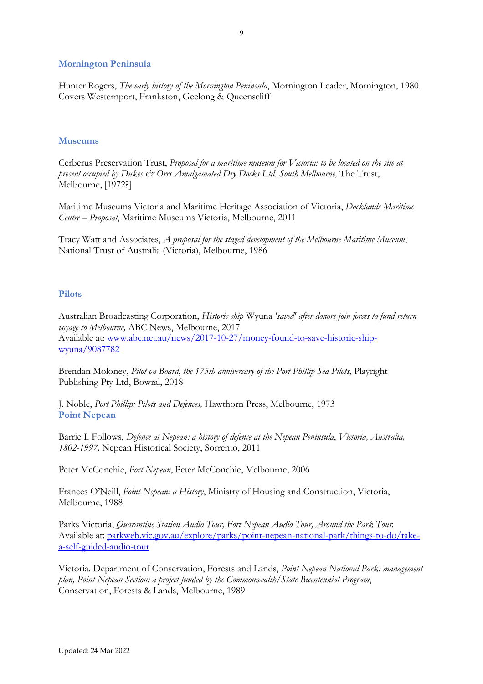#### **Mornington Peninsula**

Hunter Rogers, *The early history of the Mornington Peninsula*, Mornington Leader, Mornington, 1980. Covers Westernport, Frankston, Geelong & Queenscliff

#### **Museums**

Cerberus Preservation Trust, *Proposal for a maritime museum for Victoria: to be located on the site at present occupied by Dukes*  $\dot{\mathcal{C}}$  *Orrs Amalgamated Dry Docks Ltd. South Melbourne, The Trust,* Melbourne, [1972?]

Maritime Museums Victoria and Maritime Heritage Association of Victoria, *Docklands Maritime Centre – Proposal*, Maritime Museums Victoria, Melbourne, 2011

Tracy Watt and Associates, *A proposal for the staged development of the Melbourne Maritime Museum*, National Trust of Australia (Victoria), Melbourne, 1986

#### **Pilots**

Australian Broadcasting Corporation, *Historic ship* Wyuna *'saved' after donors join forces to fund return voyage to Melbourne,* ABC News, Melbourne, 2017 Available at: [www.abc.net.au/news/2017-10-27/money-found-to-save-historic-ship](http://www.abc.net.au/news/2017-10-27/money-found-to-save-historic-ship-wyuna/9087782)[wyuna/9087782](http://www.abc.net.au/news/2017-10-27/money-found-to-save-historic-ship-wyuna/9087782)

Brendan Moloney, *Pilot on Board*, *the 175th anniversary of the Port Phillip Sea Pilots*, Playright Publishing Pty Ltd, Bowral, 2018

J. Noble, *Port Phillip: Pilots and Defences,* Hawthorn Press, Melbourne, 1973 **Point Nepean**

Barrie I. Follows, *Defence at Nepean: a history of defence at the Nepean Peninsula*, *Victoria, Australia, 1802-1997,* Nepean Historical Society, Sorrento, 2011

Peter McConchie, *Port Nepean*, Peter McConchie, Melbourne, 2006

Frances O'Neill, *Point Nepean: a History*, Ministry of Housing and Construction, Victoria, Melbourne, 1988

Parks Victoria, *Quarantine Station Audio Tour, Fort Nepean Audio Tour, Around the Park Tour.* Available at: [parkweb.vic.gov.au/explore/parks/point-nepean-national-park/things-to-do/take](http://parkweb.vic.gov.au/explore/parks/point-nepean-national-park/things-to-do/take-a-self-guided-audio-tour)[a-self-guided-audio-tour](http://parkweb.vic.gov.au/explore/parks/point-nepean-national-park/things-to-do/take-a-self-guided-audio-tour)

Victoria. Department of Conservation, Forests and Lands, *Point Nepean National Park: management plan, Point Nepean Section: a project funded by the Commonwealth/State Bicentennial Program*, Conservation, Forests & Lands, Melbourne, 1989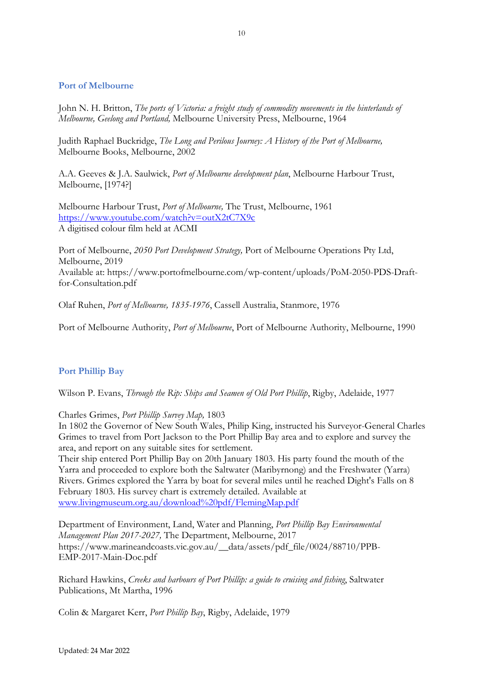## **Port of Melbourne**

John N. H. Britton, *The ports of Victoria: a freight study of commodity movements in the hinterlands of Melbourne, Geelong and Portland,* Melbourne University Press, Melbourne, 1964

Judith Raphael Buckridge, *The Long and Perilous Journey: A History of the Port of Melbourne,*  Melbourne Books, Melbourne, 2002

A.A. Geeves & J.A. Saulwick, *Port of Melbourne development plan*, Melbourne Harbour Trust, Melbourne, [1974?]

Melbourne Harbour Trust, *Port of Melbourne,* The Trust, Melbourne, 1961 <https://www.youtube.com/watch?v=outX2tC7X9c> A digitised colour film held at ACMI

Port of Melbourne, *2050 Port Development Strategy,* Port of Melbourne Operations Pty Ltd, Melbourne, 2019 Available at: https://www.portofmelbourne.com/wp-content/uploads/PoM-2050-PDS-Draftfor-Consultation.pdf

Olaf Ruhen, *Port of Melbourne, 1835-1976*, Cassell Australia, Stanmore, 1976

Port of Melbourne Authority, *Port of Melbourne*, Port of Melbourne Authority, Melbourne, 1990

## **Port Phillip Bay**

Wilson P. Evans, *Through the Rip: Ships and Seamen of Old Port Phillip*, Rigby, Adelaide, 1977

#### Charles Grimes, *Port Phillip Survey Map,* 1803

In 1802 the Governor of New South Wales, Philip King, instructed his Surveyor-General Charles Grimes to travel from Port Jackson to the Port Phillip Bay area and to explore and survey the area, and report on any suitable sites for settlement.

Their ship entered Port Phillip Bay on 20th January 1803. His party found the mouth of the Yarra and proceeded to explore both the Saltwater (Maribyrnong) and the Freshwater (Yarra) Rivers. Grimes explored the Yarra by boat for several miles until he reached Dight's Falls on 8 February 1803. His survey chart is extremely detailed. Available at [www.livingmuseum.org.au/download%20pdf/FlemingMap.pdf](http://www.livingmuseum.org.au/download%20pdf/FlemingMap.pdf)

Department of Environment, Land, Water and Planning, *Port Phillip Bay Environmental Management Plan 2017-2027,* The Department, Melbourne, 2017 https://www.marineandcoasts.vic.gov.au/\_\_data/assets/pdf\_file/0024/88710/PPB-EMP-2017-Main-Doc.pdf

Richard Hawkins, *Creeks and harbours of Port Phillip: a guide to cruising and fishing*, Saltwater Publications, Mt Martha, 1996

Colin & Margaret Kerr, *Port Phillip Bay*, Rigby, Adelaide, 1979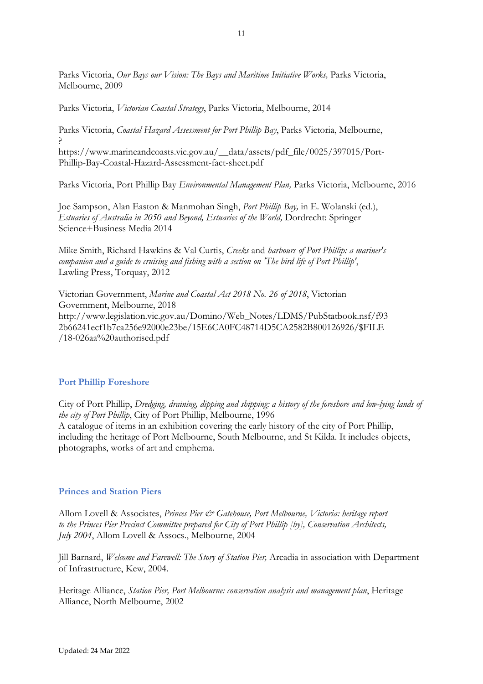Parks Victoria, *Our Bays our Vision: The Bays and Maritime Initiative Works,* Parks Victoria, Melbourne, 2009

Parks Victoria, *Victorian Coastal Strategy*, Parks Victoria, Melbourne, 2014

Parks Victoria, *Coastal Hazard Assessment for Port Phillip Bay*, Parks Victoria, Melbourne, ?

https://www.marineandcoasts.vic.gov.au/\_\_data/assets/pdf\_file/0025/397015/Port-Phillip-Bay-Coastal-Hazard-Assessment-fact-sheet.pdf

Parks Victoria, Port Phillip Bay *Environmental Management Plan,* Parks Victoria, Melbourne, 2016

Joe Sampson, Alan Easton & Manmohan Singh, *Port Phillip Bay,* in E. Wolanski (ed.), *Estuaries of Australia in 2050 and Beyond, Estuaries of the World,* Dordrecht: Springer Science+Business Media 2014

Mike Smith, Richard Hawkins & Val Curtis, *Creeks* and *harbours of Port Phillip: a mariner's companion and a guide to cruising and fishing with a section on 'The bird life of Port Phillip'*, Lawling Press, Torquay, 2012

Victorian Government, *Marine and Coastal Act 2018 No. 26 of 2018*, Victorian Government, Melbourne, 2018 http://www.legislation.vic.gov.au/Domino/Web\_Notes/LDMS/PubStatbook.nsf/f93 2b66241ecf1b7ca256e92000e23be/15E6CA0FC48714D5CA2582B800126926/\$FILE /18-026aa%20authorised.pdf

## **Port Phillip Foreshore**

City of Port Phillip, *Dredging, draining, dipping and shipping: a history of the foreshore and low-lying lands of the city of Port Phillip*, City of Port Phillip, Melbourne, 1996 A catalogue of items in an exhibition covering the early history of the city of Port Phillip, including the heritage of Port Melbourne, South Melbourne, and St Kilda. It includes objects, photographs, works of art and emphema.

## **Princes and Station Piers**

Allom Lovell & Associates, *Princes Pier & Gatehouse, Port Melbourne, Victoria: heritage report to the Princes Pier Precinct Committee prepared for City of Port Phillip [by], Conservation Architects, July 2004*, Allom Lovell & Assocs., Melbourne, 2004

Jill Barnard, *Welcome and Farewell: The Story of Station Pier,* Arcadia in association with Department of Infrastructure, Kew, 2004.

Heritage Alliance, *Station Pier, Port Melbourne: conservation analysis and management plan*, Heritage Alliance, North Melbourne, 2002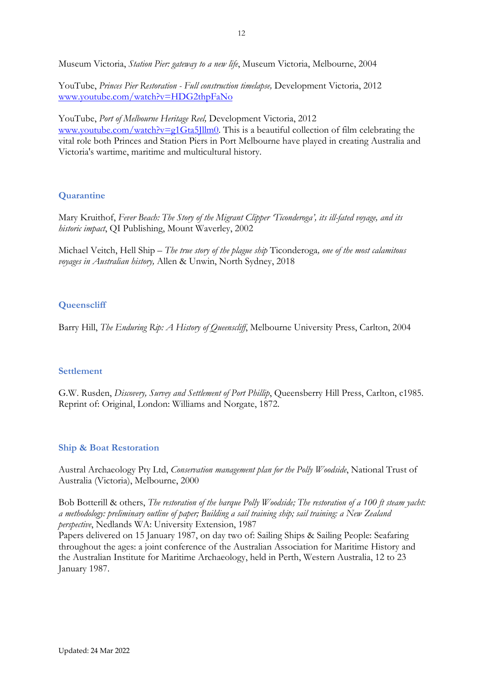Museum Victoria, *Station Pier: gateway to a new life*, Museum Victoria, Melbourne, 2004

YouTube, *Princes Pier Restoration - Full construction timelapse,* Development Victoria, 2012 [www.youtube.com/watch?v=HDG2thpFaNo](http://www.youtube.com/watch?v=HDG2thpFaNo)

YouTube, *Port of Melbourne Heritage Reel,* Development Victoria, 2012 [www.youtube.com/watch?v=g1Gta5Jllm0.](http://www.youtube.com/watch?v=g1Gta5Jllm0) This is a beautiful collection of film celebrating the vital role both Princes and Station Piers in Port Melbourne have played in creating Australia and Victoria's wartime, maritime and multicultural history.

## **Quarantine**

Mary Kruithof, *Fever Beach: The Story of the Migrant Clipper 'Ticonderoga', its ill-fated voyage, and its historic impact*, QI Publishing, Mount Waverley, 2002

Michael Veitch, Hell Ship – *The true story of the plague ship* Ticonderoga*, one of the most calamitous voyages in Australian history,* Allen & Unwin, North Sydney, 2018

# **Queenscliff**

Barry Hill, *The Enduring Rip: A History of Queenscliff*, Melbourne University Press, Carlton, 2004

## **Settlement**

G.W. Rusden, *Discovery, Survey and Settlement of Port Phillip*, Queensberry Hill Press, Carlton, c1985. Reprint of: Original, London: Williams and Norgate, 1872.

## **Ship & Boat Restoration**

Austral Archaeology Pty Ltd, *Conservation management plan for the Polly Woodside*, National Trust of Australia (Victoria), Melbourne, 2000

Bob Botterill & others, *The restoration of the barque Polly Woodside; The restoration of a 100 ft steam yacht: a methodology: preliminary outline of paper; Building a sail training ship; sail training: a New Zealand perspective*, Nedlands WA: University Extension, 1987

Papers delivered on 15 January 1987, on day two of: Sailing Ships & Sailing People: Seafaring throughout the ages: a joint conference of the Australian Association for Maritime History and the Australian Institute for Maritime Archaeology, held in Perth, Western Australia, 12 to 23 January 1987.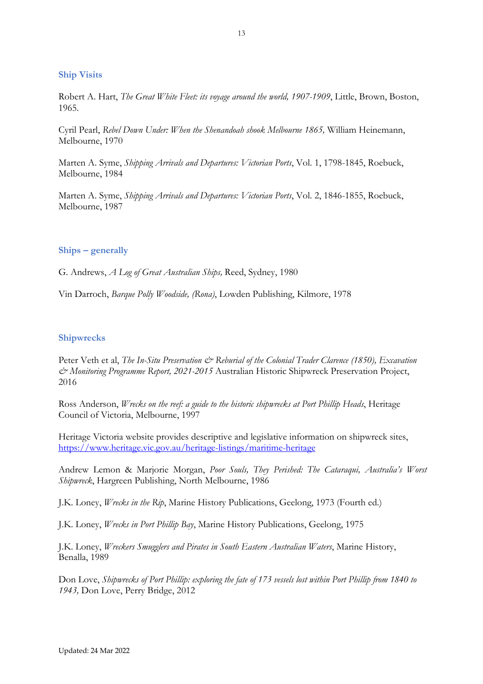#### **Ship Visits**

Robert A. Hart, *The Great White Fleet: its voyage around the world, 1907-1909*, Little, Brown, Boston, 1965.

Cyril Pearl, *Rebel Down Under: When the Shenandoah shook Melbourne 1865,* William Heinemann, Melbourne, 1970

Marten A. Syme, *Shipping Arrivals and Departures: Victorian Ports*, Vol. 1, 1798-1845, Roebuck, Melbourne, 1984

Marten A. Syme, *Shipping Arrivals and Departures: Victorian Ports*, Vol. 2, 1846-1855, Roebuck, Melbourne, 1987

#### **Ships – generally**

G. Andrews, *A Log of Great Australian Ships,* Reed, Sydney, 1980

Vin Darroch, *Barque Polly Woodside, (Rona)*, Lowden Publishing, Kilmore, 1978

#### **Shipwrecks**

Peter Veth et al, *The In-Situ Preservation & Reburial of the Colonial Trader Clarence (1850), Excavation & Monitoring Programme Report, 2021-2015* Australian Historic Shipwreck Preservation Project, 2016

Ross Anderson, *Wrecks on the reef: a guide to the historic shipwrecks at Port Phillip Heads*, Heritage Council of Victoria, Melbourne, 1997

Heritage Victoria website provides descriptive and legislative information on shipwreck sites, <https://www.heritage.vic.gov.au/heritage-listings/maritime-heritage>

Andrew Lemon & Marjorie Morgan, *Poor Souls, They Perished: The Cataraqui, Australia's Worst Shipwreck*, Hargreen Publishing, North Melbourne, 1986

J.K. Loney, *Wrecks in the Rip*, Marine History Publications, Geelong, 1973 (Fourth ed.)

J.K. Loney, *Wrecks in Port Phillip Bay*, Marine History Publications, Geelong, 1975

J.K. Loney, *Wreckers Smugglers and Pirates in South Eastern Australian Waters*, Marine History, Benalla, 1989

Don Love, *Shipwrecks of Port Phillip: exploring the fate of 173 vessels lost within Port Phillip from 1840 to 1943,* Don Love, Perry Bridge, 2012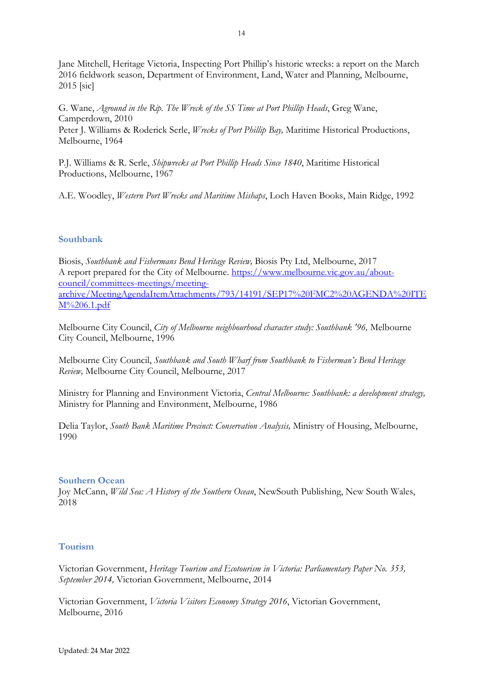Jane Mitchell, Heritage Victoria, Inspecting Port Phillip's historic wrecks: a report on the March 2016 fieldwork season, Department of Environment, Land, Water and Planning, Melbourne, 2015 [sic]

G. Wane, *Aground in the Rip. The Wreck of the SS Time at Port Phillip Heads*, Greg Wane, Camperdown, 2010 Peter J. Williams & Roderick Serle, *Wrecks of Port Phillip Bay,* Maritime Historical Productions, Melbourne, 1964

P.J. Williams & R. Serle, *Shipwrecks at Port Phillip Heads Since 1840*, Maritime Historical Productions, Melbourne, 1967

A.E. Woodley, *Western Port Wrecks and Maritime Mishaps*, Loch Haven Books, Main Ridge, 1992

## **Southbank**

Biosis, *Southbank and Fishermans Bend Heritage Review,* Biosis Pty Ltd, Melbourne, 2017 A report prepared for the City of Melbourne. [https://www.melbourne.vic.gov.au/about](https://www.melbourne.vic.gov.au/about-council/committees-meetings/meeting-archive/MeetingAgendaItemAttachments/793/14191/SEP17%20FMC2%20AGENDA%20ITEM%206.1.pdf)[council/committees-meetings/meeting](https://www.melbourne.vic.gov.au/about-council/committees-meetings/meeting-archive/MeetingAgendaItemAttachments/793/14191/SEP17%20FMC2%20AGENDA%20ITEM%206.1.pdf)[archive/MeetingAgendaItemAttachments/793/14191/SEP17%20FMC2%20AGENDA%20ITE](https://www.melbourne.vic.gov.au/about-council/committees-meetings/meeting-archive/MeetingAgendaItemAttachments/793/14191/SEP17%20FMC2%20AGENDA%20ITEM%206.1.pdf) [M%206.1.pdf](https://www.melbourne.vic.gov.au/about-council/committees-meetings/meeting-archive/MeetingAgendaItemAttachments/793/14191/SEP17%20FMC2%20AGENDA%20ITEM%206.1.pdf)

Melbourne City Council, *City of Melbourne neighbourhood character study: Southbank '96,* Melbourne City Council, Melbourne, 1996

Melbourne City Council, *Southbank and South Wharf from Southbank to Fisherman's Bend Heritage Review,* Melbourne City Council, Melbourne, 2017

Ministry for Planning and Environment Victoria, *Central Melbourne: Southbank: a development strategy,* Ministry for Planning and Environment, Melbourne, 1986

Delia Taylor, *South Bank Maritime Precinct: Conservation Analysis,* Ministry of Housing, Melbourne, 1990

#### **Southern Ocean**

Joy McCann, *Wild Sea: A History of the Southern Ocean*, NewSouth Publishing, New South Wales, 2018

## **Tourism**

Victorian Government, *Heritage Tourism and Ecotourism in Victoria: Parliamentary Paper No. 353, September 2014,* Victorian Government, Melbourne, 2014

Victorian Government, *Victoria Visitors Economy Strategy 2016*, Victorian Government, Melbourne, 2016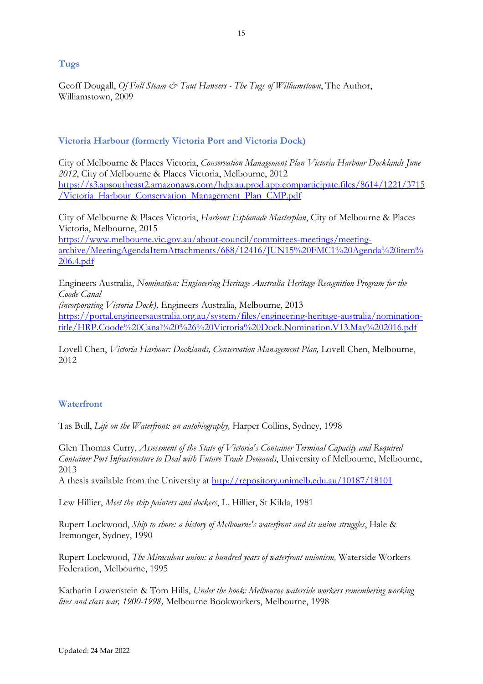**Tugs**

Geoff Dougall, *Of Full Steam & Taut Hawsers - The Tugs of Williamstown*, The Author, Williamstown, 2009

# **Victoria Harbour (formerly Victoria Port and Victoria Dock)**

City of Melbourne & Places Victoria, *Conservation Management Plan Victoria Harbour Docklands June 2012*, City of Melbourne & Places Victoria, Melbourne, 2012 [https://s3.apsoutheast2.amazonaws.com/hdp.au.prod.app.comparticipate.files/8614/1221/3715](https://s3.apsoutheast2.amazonaws.com/hdp.au.prod.app.comparticipate.files/8614/1221/3715/Victoria_Harbour_Conservation_Management_Plan_CMP.pdf) [/Victoria\\_Harbour\\_Conservation\\_Management\\_Plan\\_CMP.pdf](https://s3.apsoutheast2.amazonaws.com/hdp.au.prod.app.comparticipate.files/8614/1221/3715/Victoria_Harbour_Conservation_Management_Plan_CMP.pdf)

City of Melbourne & Places Victoria, *Harbour Esplanade Masterplan*, City of Melbourne & Places Victoria, Melbourne, 2015 [https://www.melbourne.vic.gov.au/about-council/committees-meetings/meeting](https://www.melbourne.vic.gov.au/about-council/committees-meetings/meeting-archive/MeetingAgendaItemAttachments/688/12416/JUN15%20FMC1%20Agenda%20item%206.4.pdf)[archive/MeetingAgendaItemAttachments/688/12416/JUN15%20FMC1%20Agenda%20item%](https://www.melbourne.vic.gov.au/about-council/committees-meetings/meeting-archive/MeetingAgendaItemAttachments/688/12416/JUN15%20FMC1%20Agenda%20item%206.4.pdf) [206.4.pdf](https://www.melbourne.vic.gov.au/about-council/committees-meetings/meeting-archive/MeetingAgendaItemAttachments/688/12416/JUN15%20FMC1%20Agenda%20item%206.4.pdf)

Engineers Australia, *Nomination: Engineering Heritage Australia Heritage Recognition Program for the Coode Canal* 

*(incorporating Victoria Dock),* Engineers Australia, Melbourne, 2013 [https://portal.engineersaustralia.org.au/system/files/engineering-heritage-australia/nomination](https://portal.engineersaustralia.org.au/system/files/engineering-heritage-australia/nomination-title/HRP.Coode%20Canal%20%26%20Victoria%20Dock.Nomination.V13.May%202016.pdf)[title/HRP.Coode%20Canal%20%26%20Victoria%20Dock.Nomination.V13.May%202016.pdf](https://portal.engineersaustralia.org.au/system/files/engineering-heritage-australia/nomination-title/HRP.Coode%20Canal%20%26%20Victoria%20Dock.Nomination.V13.May%202016.pdf)

Lovell Chen, *Victoria Harbour: Docklands, Conservation Management Plan,* Lovell Chen, Melbourne, 2012

## **Waterfront**

Tas Bull, *Life on the Waterfront: an autobiography,* Harper Collins, Sydney, 1998

Glen Thomas Curry, *Assessment of the State of Victoria's Container Terminal Capacity and Required Container Port Infrastructure to Deal with Future Trade Demands*, University of Melbourne, Melbourne, 2013

A thesis available from the University at<http://repository.unimelb.edu.au/10187/18101>

Lew Hillier, *Meet the ship painters and dockers*, L. Hillier, St Kilda, 1981

Rupert Lockwood, *Ship to shore: a history of Melbourne's waterfront and its union struggles*, Hale & Iremonger, Sydney, 1990

Rupert Lockwood, *The Miraculous union: a hundred years of waterfront unionism,* Waterside Workers Federation, Melbourne, 1995

Katharin Lowenstein & Tom Hills, *Under the hook: Melbourne waterside workers remembering working lives and class war, 1900-1998,* Melbourne Bookworkers, Melbourne, 1998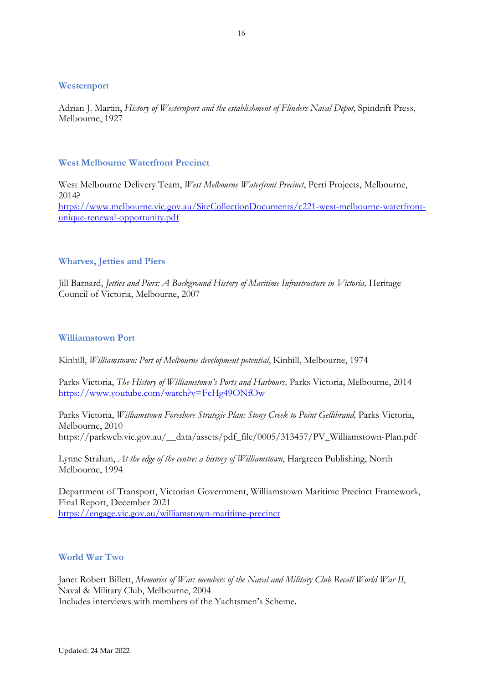#### **Westernport**

Adrian J. Martin, *History of Westernport and the establishment of Flinders Naval Depot*, Spindrift Press, Melbourne, 1927

#### **West Melbourne Waterfront Precinct**

West Melbourne Delivery Team, *West Melbourne Waterfront Precinct*, Perri Projects, Melbourne, 2014? [https://www.melbourne.vic.gov.au/SiteCollectionDocuments/c221-west-melbourne-waterfront](https://www.melbourne.vic.gov.au/SiteCollectionDocuments/c221-west-melbourne-waterfront-unique-renewal-opportunity.pdf)[unique-renewal-opportunity.pdf](https://www.melbourne.vic.gov.au/SiteCollectionDocuments/c221-west-melbourne-waterfront-unique-renewal-opportunity.pdf)

## **Wharves, Jetties and Piers**

Jill Barnard, *Jetties and Piers: A Background History of Maritime Infrastructure in Victoria,* Heritage Council of Victoria, Melbourne, 2007

## **Williamstown Port**

Kinhill, *Williamstown: Port of Melbourne development potential*, Kinhill, Melbourne, 1974

Parks Victoria, *The History of Williamstown's Ports and Harbours*, Parks Victoria, Melbourne, 2014 <https://www.youtube.com/watch?v=FcHg49ONfOw>

Parks Victoria, *Williamstown Foreshore Strategic Plan: Stony Creek to Point Gellibrand,* Parks Victoria, Melbourne, 2010 https://parkweb.vic.gov.au/\_\_data/assets/pdf\_file/0005/313457/PV\_Williamstown-Plan.pdf

Lynne Strahan, *At the edge of the centre: a history of Williamstown*, Hargreen Publishing, North Melbourne, 1994

Department of Transport, Victorian Government, Williamstown Maritime Precinct Framework, Final Report, December 2021 <https://engage.vic.gov.au/williamstown-maritime-precinct>

#### **World War Two**

Janet Robert Billett, *Memories of War: members of the Naval and Military Club Recall World War II*, Naval & Military Club, Melbourne, 2004 Includes interviews with members of the Yachtsmen's Scheme.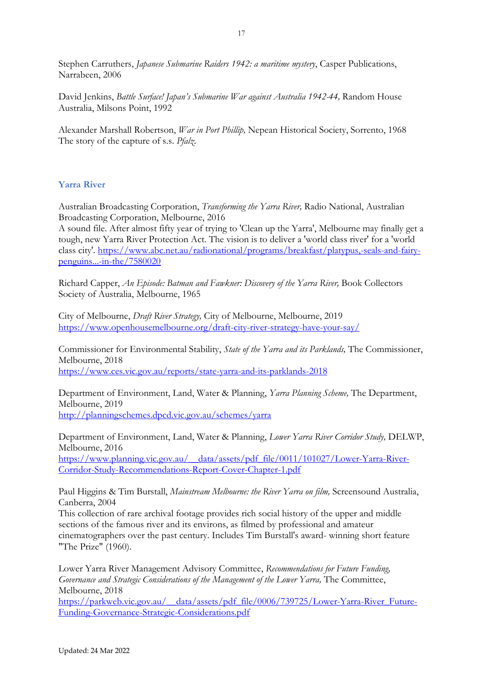Stephen Carruthers, *Japanese Submarine Raiders 1942: a maritime mystery*, Casper Publications, Narrabeen, 2006

David Jenkins, *Battle Surface! Japan's Submarine War against Australia 1942-44*, Random House Australia, Milsons Point, 1992

Alexander Marshall Robertson, *War in Port Phillip,* Nepean Historical Society, Sorrento, 1968 The story of the capture of s.s. *Pfalz*.

#### **Yarra River**

Australian Broadcasting Corporation, *Transforming the Yarra River,* Radio National, Australian Broadcasting Corporation, Melbourne, 2016

A sound file. After almost fifty year of trying to 'Clean up the Yarra', Melbourne may finally get a tough, new Yarra River Protection Act. The vision is to deliver a 'world class river' for a 'world class city'. [https://www.abc.net.au/radionational/programs/breakfast/platypus,-seals-and-fairy](https://www.abc.net.au/radionational/programs/breakfast/platypus,-seals-and-fairy-penguins...-in-the/7580020)[penguins...-in-the/7580020](https://www.abc.net.au/radionational/programs/breakfast/platypus,-seals-and-fairy-penguins...-in-the/7580020)

Richard Capper, *An Episode: Batman and Fawkner: Discovery of the Yarra River*, Book Collectors Society of Australia, Melbourne, 1965

City of Melbourne, *Draft River Strategy,* City of Melbourne, Melbourne, 2019 <https://www.openhousemelbourne.org/draft-city-river-strategy-have-your-say/>

Commissioner for Environmental Stability, *State of the Yarra and its Parklands,* The Commissioner, Melbourne, 2018 <https://www.ces.vic.gov.au/reports/state-yarra-and-its-parklands-2018>

Department of Environment, Land, Water & Planning, *Yarra Planning Scheme,* The Department, Melbourne, 2019 <http://planningschemes.dpcd.vic.gov.au/schemes/yarra>

Department of Environment, Land, Water & Planning, *Lower Yarra River Corridor Study,* DELWP, Melbourne, 2016 [https://www.planning.vic.gov.au/\\_\\_data/assets/pdf\\_file/0011/101027/Lower-Yarra-River-](https://www.planning.vic.gov.au/__data/assets/pdf_file/0011/101027/Lower-Yarra-River-Corridor-Study-Recommendations-Report-Cover-Chapter-1.pdf)[Corridor-Study-Recommendations-Report-Cover-Chapter-1.pdf](https://www.planning.vic.gov.au/__data/assets/pdf_file/0011/101027/Lower-Yarra-River-Corridor-Study-Recommendations-Report-Cover-Chapter-1.pdf)

Paul Higgins & Tim Burstall, *Mainstream Melbourne: the River Yarra on film,* Screensound Australia, Canberra, 2004

This collection of rare archival footage provides rich social history of the upper and middle sections of the famous river and its environs, as filmed by professional and amateur cinematographers over the past century. Includes Tim Burstall's award- winning short feature "The Prize" (1960).

Lower Yarra River Management Advisory Committee, *Recommendations for Future Funding, Governance and Strategic Considerations of the Management of the Lower Yarra,* The Committee, Melbourne, 2018

[https://parkweb.vic.gov.au/\\_\\_data/assets/pdf\\_file/0006/739725/Lower-Yarra-River\\_Future-](https://parkweb.vic.gov.au/__data/assets/pdf_file/0006/739725/Lower-Yarra-River_Future-Funding-Governance-Strategic-Considerations.pdf)[Funding-Governance-Strategic-Considerations.pdf](https://parkweb.vic.gov.au/__data/assets/pdf_file/0006/739725/Lower-Yarra-River_Future-Funding-Governance-Strategic-Considerations.pdf)